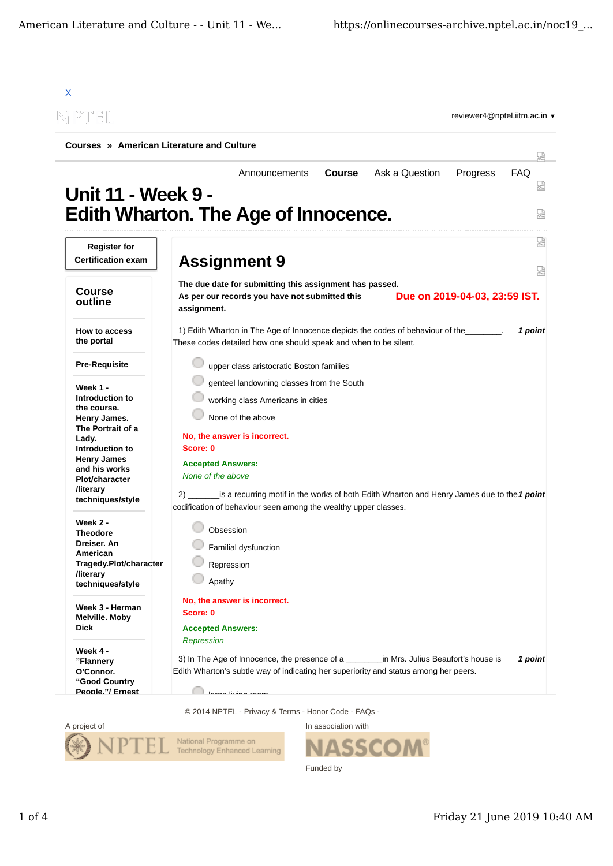

© 2014 NPTEL - Privacy & Terms - Honor Code - FAQs -



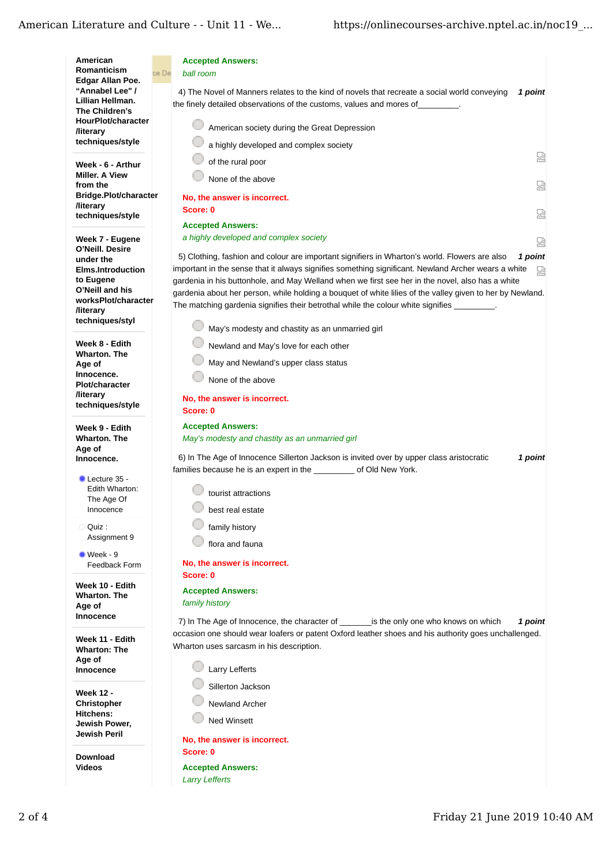## American Literature and Culture - - Unit 11 - We...

| American                                                | <b>Accepted Answers:</b>                                                                                  |  |
|---------------------------------------------------------|-----------------------------------------------------------------------------------------------------------|--|
| Romanticism<br>Edgar Allan Poe.                         | ce De<br>ball room                                                                                        |  |
| "Annabel Lee" /                                         | 1 point<br>4) The Novel of Manners relates to the kind of novels that recreate a social world conveying   |  |
| Lillian Hellman.                                        | the finely detailed observations of the customs, values and mores of                                      |  |
| The Children's                                          |                                                                                                           |  |
| HourPlot/character<br><b>/literary</b>                  | American society during the Great Depression                                                              |  |
| techniques/style                                        | a highly developed and complex society                                                                    |  |
|                                                         | 얺<br>of the rural poor                                                                                    |  |
| Week - 6 - Arthur<br><b>Miller, A View</b>              |                                                                                                           |  |
| from the                                                | None of the above<br>요                                                                                    |  |
| Bridge.Plot/character                                   | No, the answer is incorrect.                                                                              |  |
| <b>/literary</b><br>techniques/style                    | Score: 0<br>얺                                                                                             |  |
|                                                         | <b>Accepted Answers:</b>                                                                                  |  |
| Week 7 - Eugene                                         | a highly developed and complex society<br>덣                                                               |  |
| O'Neill. Desire                                         | 1 point<br>5) Clothing, fashion and colour are important signifiers in Wharton's world. Flowers are also  |  |
| under the<br><b>Elms.Introduction</b>                   | important in the sense that it always signifies something significant. Newland Archer wears a white<br>덣  |  |
| to Eugene                                               | gardenia in his buttonhole, and May Welland when we first see her in the novel, also has a white          |  |
| O'Neill and his                                         | gardenia about her person, while holding a bouquet of white lilies of the valley given to her by Newland. |  |
| worksPlot/character<br><b>/literary</b>                 | The matching gardenia signifies their betrothal while the colour white signifies                          |  |
| techniques/styl                                         |                                                                                                           |  |
|                                                         | May's modesty and chastity as an unmarried girl                                                           |  |
| Week 8 - Edith<br><b>Wharton. The</b>                   | Newland and May's love for each other                                                                     |  |
| Age of                                                  | May and Newland's upper class status                                                                      |  |
| Innocence.                                              | None of the above                                                                                         |  |
| <b>Plot/character</b><br><b><i><u>Iliterary</u></i></b> |                                                                                                           |  |
| techniques/style                                        | No, the answer is incorrect.                                                                              |  |
|                                                         | Score: 0                                                                                                  |  |
| Week 9 - Edith                                          | <b>Accepted Answers:</b>                                                                                  |  |
| <b>Wharton, The</b><br>Age of                           | May's modesty and chastity as an unmarried girl                                                           |  |
| Innocence.                                              | 6) In The Age of Innocence Sillerton Jackson is invited over by upper class aristocratic<br>1 point       |  |
| Lecture 35 -                                            | families because he is an expert in the ___________ of Old New York.                                      |  |
| Edith Wharton:                                          | tourist attractions                                                                                       |  |
| The Age Of                                              |                                                                                                           |  |
| Innocence                                               | best real estate                                                                                          |  |
| Quiz:<br>О                                              | family history                                                                                            |  |
| Assignment 9                                            | flora and fauna                                                                                           |  |
| $\bullet$ Week - 9                                      |                                                                                                           |  |
| Feedback Form                                           | No, the answer is incorrect.<br>Score: 0                                                                  |  |
| Week 10 - Edith                                         |                                                                                                           |  |
| <b>Wharton, The</b>                                     | <b>Accepted Answers:</b>                                                                                  |  |
| Age of                                                  | family history                                                                                            |  |
| Innocence                                               | 7) In The Age of Innocence, the character of is the only one who knows on which<br>1 point                |  |
| Week 11 - Edith                                         | occasion one should wear loafers or patent Oxford leather shoes and his authority goes unchallenged.      |  |
| <b>Wharton: The</b>                                     | Wharton uses sarcasm in his description.                                                                  |  |
| Age of<br>Innocence                                     | <b>Larry Lefferts</b>                                                                                     |  |
|                                                         |                                                                                                           |  |
| <b>Week 12 -</b>                                        | Sillerton Jackson                                                                                         |  |
| Christopher                                             | <b>Newland Archer</b>                                                                                     |  |
| Hitchens:<br>Jewish Power,                              | <b>Ned Winsett</b>                                                                                        |  |
| Jewish Peril                                            |                                                                                                           |  |
|                                                         | No, the answer is incorrect.                                                                              |  |
| <b>Download</b>                                         | Score: 0                                                                                                  |  |
| <b>Videos</b>                                           | <b>Accepted Answers:</b><br><b>Larry Lefferts</b>                                                         |  |
|                                                         |                                                                                                           |  |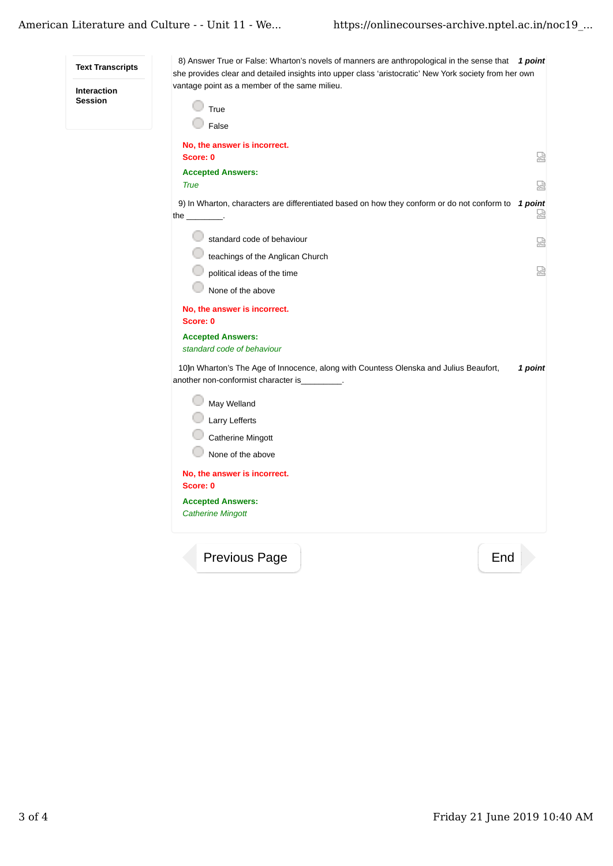| <b>Text Transcripts</b><br><b>Interaction</b><br><b>Session</b> | 8) Answer True or False: Wharton's novels of manners are anthropological in the sense that $1$ point<br>she provides clear and detailed insights into upper class 'aristocratic' New York society from her own<br>vantage point as a member of the same milieu.<br>True<br>False |         |
|-----------------------------------------------------------------|----------------------------------------------------------------------------------------------------------------------------------------------------------------------------------------------------------------------------------------------------------------------------------|---------|
|                                                                 | No, the answer is incorrect.<br>Score: 0<br><b>Accepted Answers:</b><br><b>True</b>                                                                                                                                                                                              | 덣<br>嵤  |
|                                                                 | 9) In Wharton, characters are differentiated based on how they conform or do not conform to 1 point<br>the $\_\_$ .                                                                                                                                                              | 덣       |
|                                                                 | standard code of behaviour<br>teachings of the Anglican Church<br>political ideas of the time                                                                                                                                                                                    | 얺<br>嵤  |
|                                                                 | None of the above<br>No, the answer is incorrect.<br>Score: 0<br><b>Accepted Answers:</b><br>standard code of behaviour<br>10)n Wharton's The Age of Innocence, along with Countess Olenska and Julius Beaufort,<br>another non-conformist character is .                        | 1 point |
|                                                                 | May Welland<br>Larry Lefferts<br>Catherine Mingott<br>None of the above<br>No, the answer is incorrect.<br>Score: 0<br><b>Accepted Answers:</b><br><b>Catherine Mingott</b>                                                                                                      |         |
|                                                                 | <b>Previous Page</b><br>End                                                                                                                                                                                                                                                      |         |